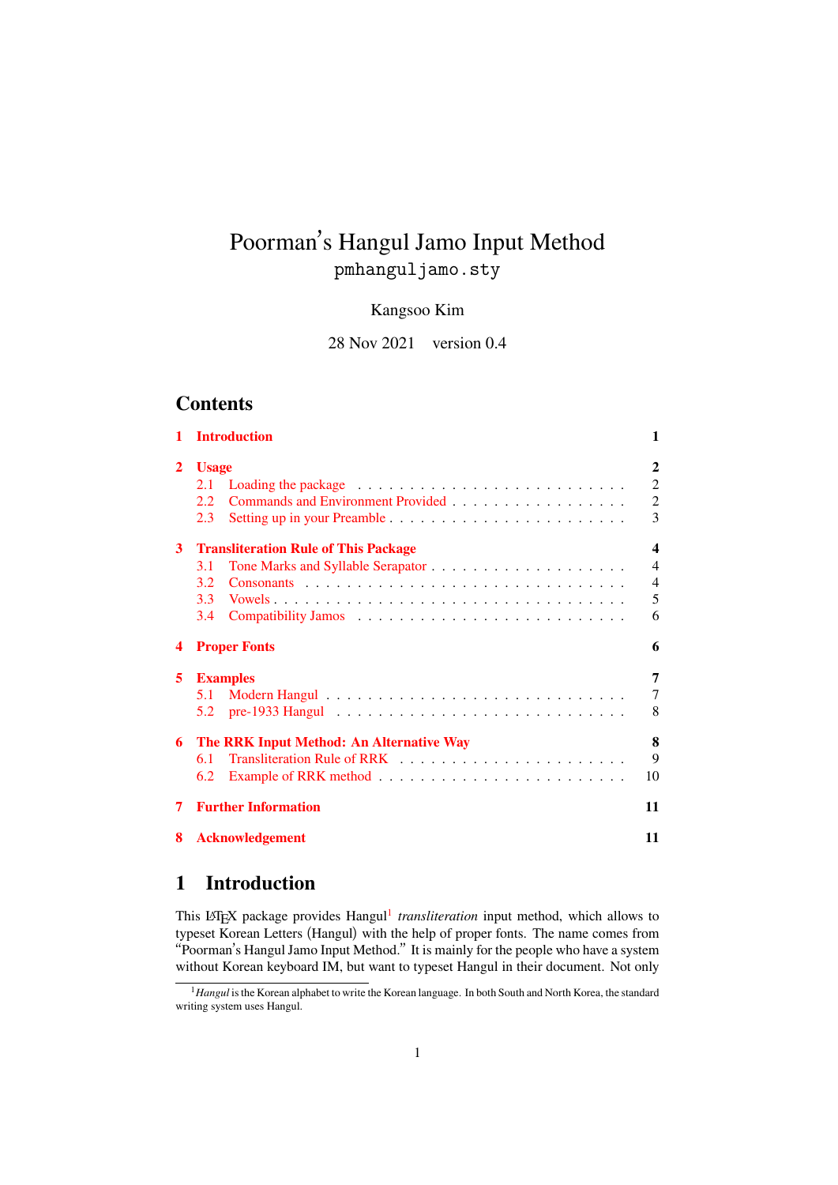# Poorman's Hangul Jamo Input Method pmhanguljamo.sty

### Kangsoo Kim

28 Nov 2021 version 0.4

# **Contents**

|                | <b>Introduction</b>                         | $\mathbf{1}$            |  |  |  |  |  |  |  |  |  |  |  |
|----------------|---------------------------------------------|-------------------------|--|--|--|--|--|--|--|--|--|--|--|
| $\mathbf{2}$   | <b>Usage</b>                                |                         |  |  |  |  |  |  |  |  |  |  |  |
|                | 2.1                                         | $\overline{2}$          |  |  |  |  |  |  |  |  |  |  |  |
|                | 2.2                                         | $\overline{2}$          |  |  |  |  |  |  |  |  |  |  |  |
|                | 2.3                                         | 3                       |  |  |  |  |  |  |  |  |  |  |  |
| 3 <sup>1</sup> | <b>Transliteration Rule of This Package</b> | $\overline{\mathbf{4}}$ |  |  |  |  |  |  |  |  |  |  |  |
|                | 3.1                                         | $\overline{4}$          |  |  |  |  |  |  |  |  |  |  |  |
|                | 3.2                                         | $\overline{4}$          |  |  |  |  |  |  |  |  |  |  |  |
|                | 3.3                                         | 5                       |  |  |  |  |  |  |  |  |  |  |  |
|                | 3.4                                         | 6                       |  |  |  |  |  |  |  |  |  |  |  |
|                | <b>Proper Fonts</b>                         | 6                       |  |  |  |  |  |  |  |  |  |  |  |
| 5.             | <b>Examples</b>                             | 7                       |  |  |  |  |  |  |  |  |  |  |  |
|                | 5.1                                         | $\overline{7}$          |  |  |  |  |  |  |  |  |  |  |  |
|                | 5.2                                         | 8                       |  |  |  |  |  |  |  |  |  |  |  |
| 6.             | The RRK Input Method: An Alternative Way    | 8                       |  |  |  |  |  |  |  |  |  |  |  |
|                | 6.1                                         | 9                       |  |  |  |  |  |  |  |  |  |  |  |
|                | 6.2                                         | 10                      |  |  |  |  |  |  |  |  |  |  |  |
| 7              | <b>Further Information</b>                  | 11                      |  |  |  |  |  |  |  |  |  |  |  |
| 8              | <b>Acknowledgement</b>                      | 11                      |  |  |  |  |  |  |  |  |  |  |  |
|                |                                             |                         |  |  |  |  |  |  |  |  |  |  |  |

# **[1 Introduction](#page-10-0)**

<span id="page-0-0"></span>This L<sup>AT</sup>EX package provides Hangul<sup>1</sup> transliteration input method, which allows to typeset Korean Letters (Hangul) with the help of proper fonts. The name comes from "Poorman's Hangul Jamo Input Method." It is mainly for the people who have a system without Korean keyboard IM, but want to typeset Hangul in their document. Not only

<span id="page-0-1"></span><sup>&</sup>lt;sup>1</sup> Hangul is the [Ko](#page-0-1)rean alphabet to write the Korean language. In both South and North Korea, the standard writing system uses Hangul.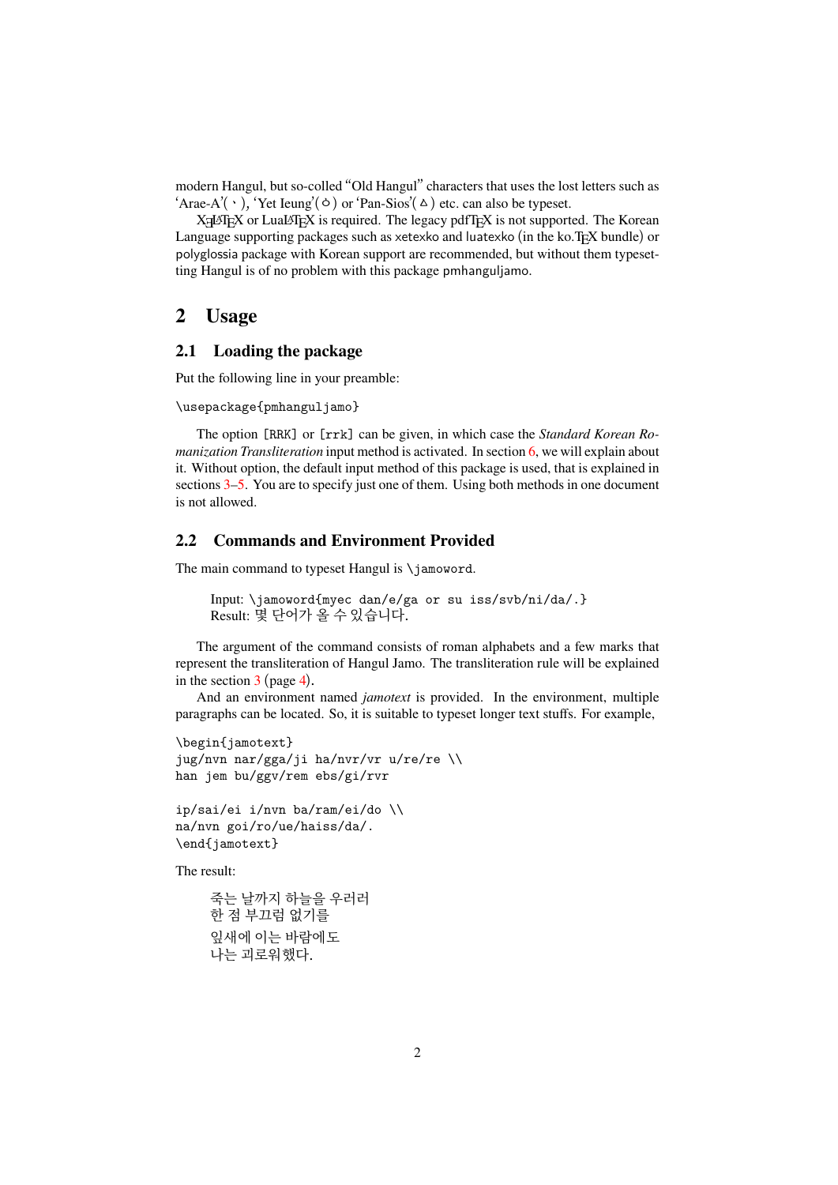modern Hangul, but so-colled "Old Hangul" characters that uses the lost letters such as 'Arae-A'( `), 'Yet Ieung'(o ) or 'Pan-Sios'( $\triangle$ ) etc. can also be typeset.

XIATEX or LuaLTEX is required. The legacy pdfTEX is not supported. The Korean Language supporting packages such as xetexko and luatexko (in the ko.TEX bundle) or polyglossia package with Korean support are recommended, but without them typesetting Hangul is of no problem with this package pmhanguljamo.

## **2 Usage**

#### **2.1 Loading the package**

<span id="page-1-0"></span>Put the following line in your preamble:

```
\usepackage{pmhanguljamo}
```
The option [RRK] or [rrk] can be given, in which case the *Standard Korean Romanization Transliteration* input method is activated. In section 6, we will explain about it. Without option, the default input method of this package is used, that is explained in sections  $3-5$ . You are to specify just one of them. Using both methods in one document is not allowed.

#### **2.2 [Co](#page-3-0)[m](#page-6-0)mands and Environment Provided**

The main command to typeset Hangul is \jamoword.

```
Input: \jamoword{myec dan/e/ga or su iss/svb/ni/da/.}
Result: 몇 단어가 올 수 있습니다.
```
The argument of the command consists of roman alphabets and a few marks that represent the transliteration of Hangul Jamo. The transliteration rule will be explained in the section  $3$  (page 4).

And an environment named *jamotext* is provided. In the environment, multiple paragraphs can be located. So, it is suitable to typeset longer text stuffs. For example,

```
\begin{jamotext}
jug/nvn nar/gga/ji ha/nvr/vr u/re/re \\
han jem bu/ggv/rem ebs/gi/rvr
```

```
ip/sai/ei i/nvn ba/ram/ei/do \\
na/nvn goi/ro/ue/haiss/da/.
\end{jamotext}
```
The result:

```
죽는 날까지 하늘을 우러러
한 점 부끄럼 없기를
잎새에 이는 바람에도
나는 괴로워했다.
```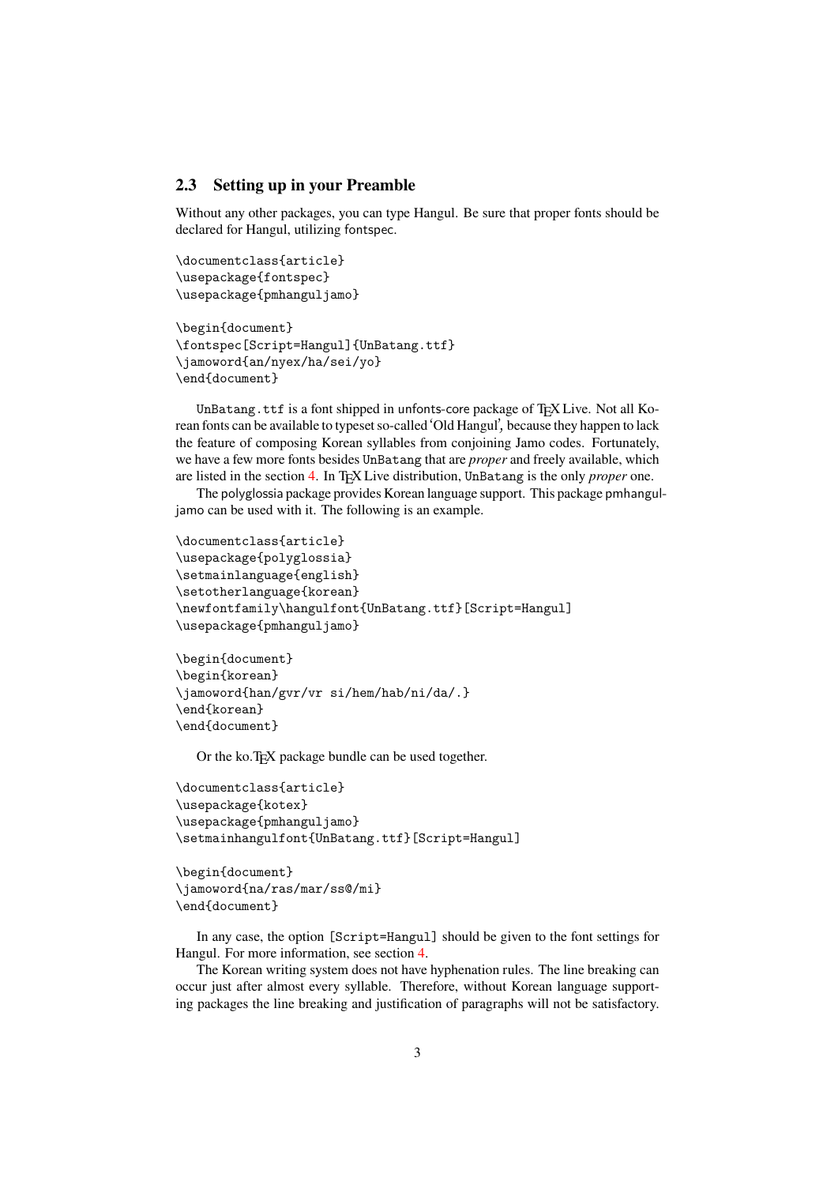### **2.3 Setting up in your Preamble**

Without any other packages, you can type Hangul. Be sure that proper fonts should be declared for Hangul, utilizing fontspec.

```
\documentclass{article}
\usepackage{fontspec}
\usepackage{pmhanguljamo}
```

```
\begin{document}
\fontspec[Script=Hangul]{UnBatang.ttf}
\jamoword{an/nyex/ha/sei/yo}
\end{document}
```
UnBatang.ttf is a font shipped in unfonts-core package of TEX Live. Not all Korean fonts can be available to typeset so-called 'Old Hangul', because they happen to lack the feature of composing Korean syllables from conjoining Jamo codes. Fortunately, we have a few more fonts besides UnBatang that are *proper* and freely available, which are listed in the section 4. In TEX Live distribution, UnBatang is the only *proper* one.

The polyglossia package provides Korean language support. This package pmhanguljamo can be used with it. The following is an example.

```
\documentclass{article}
\usepackage{polyglossia}
\setmainlanguage{english}
\setotherlanguage{korean}
\newfontfamily\hangulfont{UnBatang.ttf}[Script=Hangul]
\usepackage{pmhanguljamo}
```

```
\begin{document}
\begin{korean}
\jamoword{han/gvr/vr si/hem/hab/ni/da/.}
\end{korean}
\end{document}
```
Or the ko.TEX package bundle can be used together.

```
\documentclass{article}
\usepackage{kotex}
\usepackage{pmhanguljamo}
\setmainhangulfont{UnBatang.ttf}[Script=Hangul]
```

```
\begin{document}
\jamoword{na/ras/mar/ss@/mi}
\end{document}
```
In any case, the option [Script=Hangul] should be given to the font settings for Hangul. For more information, see section 4.

The Korean writing system does not have hyphenation rules. The line breaking can occur just after almost every syllable. Therefore, without Korean language supporting packages the line breaking and justification of paragraphs will not be satisfactory.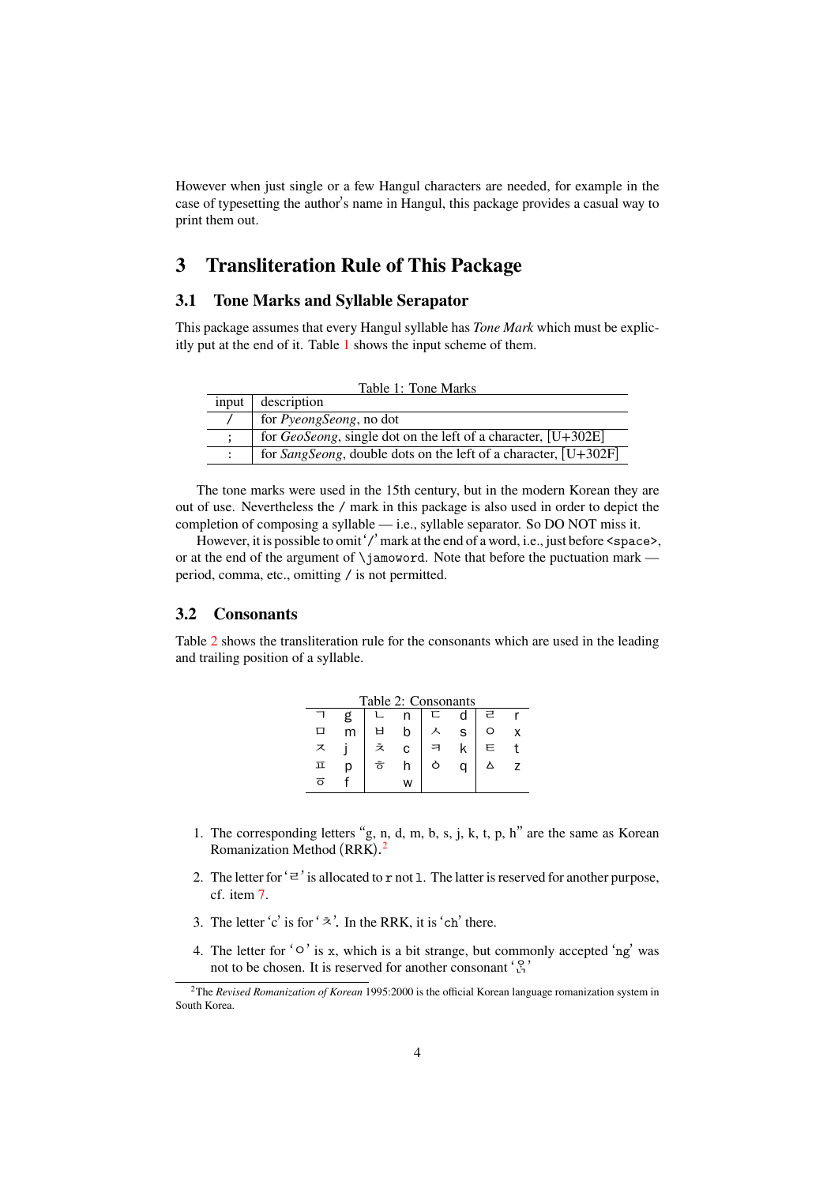However when just single or a few Hangul characters are needed, for example in the case of typesetting the author's name in Hangul, this package provides a casual way to print them out.

# **3 Transliteration Rule of This Package**

### **3.1 Tone Marks and Syllable Serapator**

<span id="page-3-0"></span>This package assumes that every Hangul syllable has *Tone Mark* which must be explicitly put at the end of it. Table 1 shows the input scheme of them.

<span id="page-3-3"></span><span id="page-3-1"></span>

| Table 1: Tone Marks |                                                                         |  |  |  |  |  |  |  |
|---------------------|-------------------------------------------------------------------------|--|--|--|--|--|--|--|
| input               | description                                                             |  |  |  |  |  |  |  |
|                     | for <i>PyeongSeong</i> , no dot                                         |  |  |  |  |  |  |  |
|                     | for <i>GeoSeong</i> , single dot on the left of a character, $[U+302E]$ |  |  |  |  |  |  |  |
|                     | for SangSeong, double dots on the left of a character, $[U+302F]$       |  |  |  |  |  |  |  |

The tone marks were used in the 15th century, but in the modern Korean they are out of use. Nevertheless the / mark in this package is also used in order to depict the completion of composing a syllable — i.e., syllable separator. So DO NOT miss it.

However, it is possible to omit '/' mark at the end of a word, i.e., just before <space>, or at the end of the argument of \jamoword. Note that before the puctuation mark period, comma, etc., omitting / is not permitted.

#### **3.2 Consonants**

<span id="page-3-2"></span>Table 2 shows the transliteration rule for the consonants which are used in the leading and trailing position of a syllable.

| Table 2: Consonants |   |    |   |   |   |   |  |  |  |  |  |
|---------------------|---|----|---|---|---|---|--|--|--|--|--|
|                     | g |    |   | 匸 |   | 근 |  |  |  |  |  |
|                     | m |    | h |   | S | Ω |  |  |  |  |  |
| ス                   |   |    | C |   | k | Е |  |  |  |  |  |
| ㅍ                   | Ŋ | ਠੋ |   |   | n |   |  |  |  |  |  |
| ಸ                   |   |    | w |   |   |   |  |  |  |  |  |

- 1. The corresponding letters "g, n, d, m, b, s, j, k, t, p, h" are the same as Korean Romanization Method (RRK).<sup>2</sup>
- 2. The letter for  $\dot{\equiv}$  is allocated to r not 1. The latter is reserved for another purpose, cf. item 7.
- 3. The letter 'c' is for ' $\overline{z}$ '. In the [R](#page-3-4)RK, it is 'ch' there.
- 4. The letter for ' $\circ$ ' is x, which is a bit strange, but commonly accepted 'ng' was not to b[e c](#page-4-1)hosen. It is reserved for another consonant  $\begin{pmatrix} 8 \\ 1 \end{pmatrix}$

<span id="page-3-4"></span><sup>2</sup>The *Revised Romanization of Korean* 1995:2000 is the official Korean language romanization system in South Korea.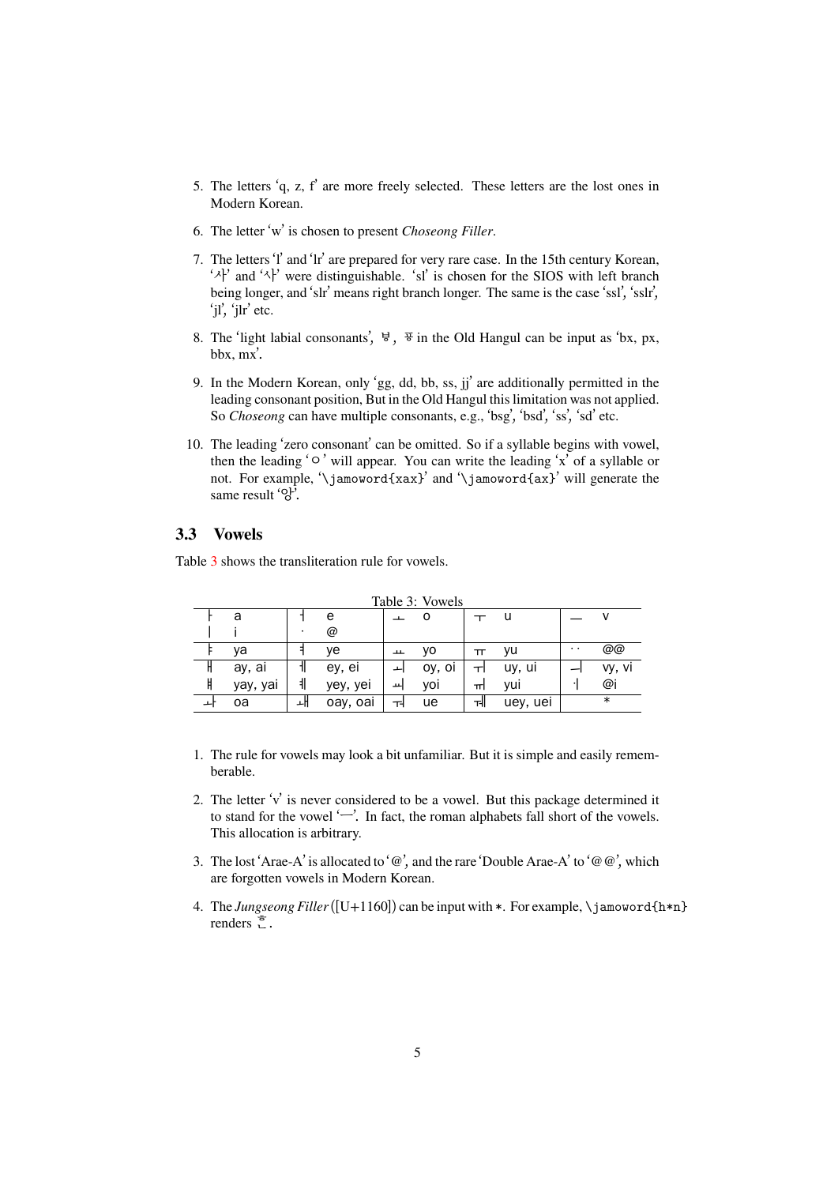- 5. The letters 'q, z, f' are more freely selected. These letters are the lost ones in Modern Korean.
- 6. The letter 'w' is chosen to present *Choseong Filler*.
- 7. The letters 'l' and 'lr' are prepared for very rare case. In the 15th century Korean, ' $\lambda$ ' and ' $\lambda$ ' were distinguishable. 'sl' is chosen for the SIOS with left branch being longer, and 'slr' means right branch longer. The same is the case 'ssl', 'sslr', 'jl', 'jlr' etc.
- <span id="page-4-1"></span>8. The 'light labial consonants',  $\forall$ ,  $\exists$  in the Old Hangul can be input as 'bx, px, bbx, mx'.
- 9. In the Modern Korean, only 'gg, dd, bb, ss, jj' are additionally permitted in the leading consonant position, But in the Old Hangul this limitation was not applied. So *Choseong* can have multiple consonants, e.g., 'bsg', 'bsd', 'ss', 'sd' etc.
- 10. The leading 'zero consonant' can be omitted. So if a syllable begins with vowel, then the leading 'ᄋ' will appear. You can write the leading 'x' of a syllable or not. For example, '\jamoword{xax}' and '\jamoword{ax}' will generate the same result '앙'.

#### **3.3 Vowels**

Table 3 shows the transliteration rule for vowels.

<span id="page-4-2"></span><span id="page-4-0"></span>

| Table 3: Vowels |          |   |          |   |        |   |          |                 |        |  |
|-----------------|----------|---|----------|---|--------|---|----------|-----------------|--------|--|
|                 | a        |   | e        |   |        |   | u        |                 |        |  |
|                 |          | ٠ | @        |   |        |   |          |                 |        |  |
|                 | ya       |   | ve       | ᅭ | ٧O     | π | vu       | $\cdot$ $\cdot$ | @@     |  |
|                 | ay, ai   |   | ey, ei   |   | oy, oi | ᆔ | uy, ui   |                 | vy, vi |  |
| Ħ               | yay, yai | 非 | yey, yei | ᆈ | voi    | ᆔ | yui      |                 | @i     |  |
|                 | oa       |   | oay, oai | ᅯ | ue     | ᆒ | uey, uei |                 | $\ast$ |  |

- 1. The rule for vowels may look a bit unfamiliar. But it is simple and easily rememberable.
- 2. The letter 'v' is never considered to be a vowel. But this package determined it to stand for the vowel 'ᅳ'. In fact, the roman alphabets fall short of the vowels. This allocation is arbitrary.
- 3. The lost 'Arae-A' is allocated to ' $\mathcal{Q}'$ ', and the rare 'Double Arae-A' to ' $\mathcal{Q} \mathcal{Q}'$ ', which are forgotten vowels in Modern Korean.
- 4. The *Jungseong Filler*([U+1160]) can be input with \*. For example, \jamoword{h\*n} renders  $\overline{z}$ .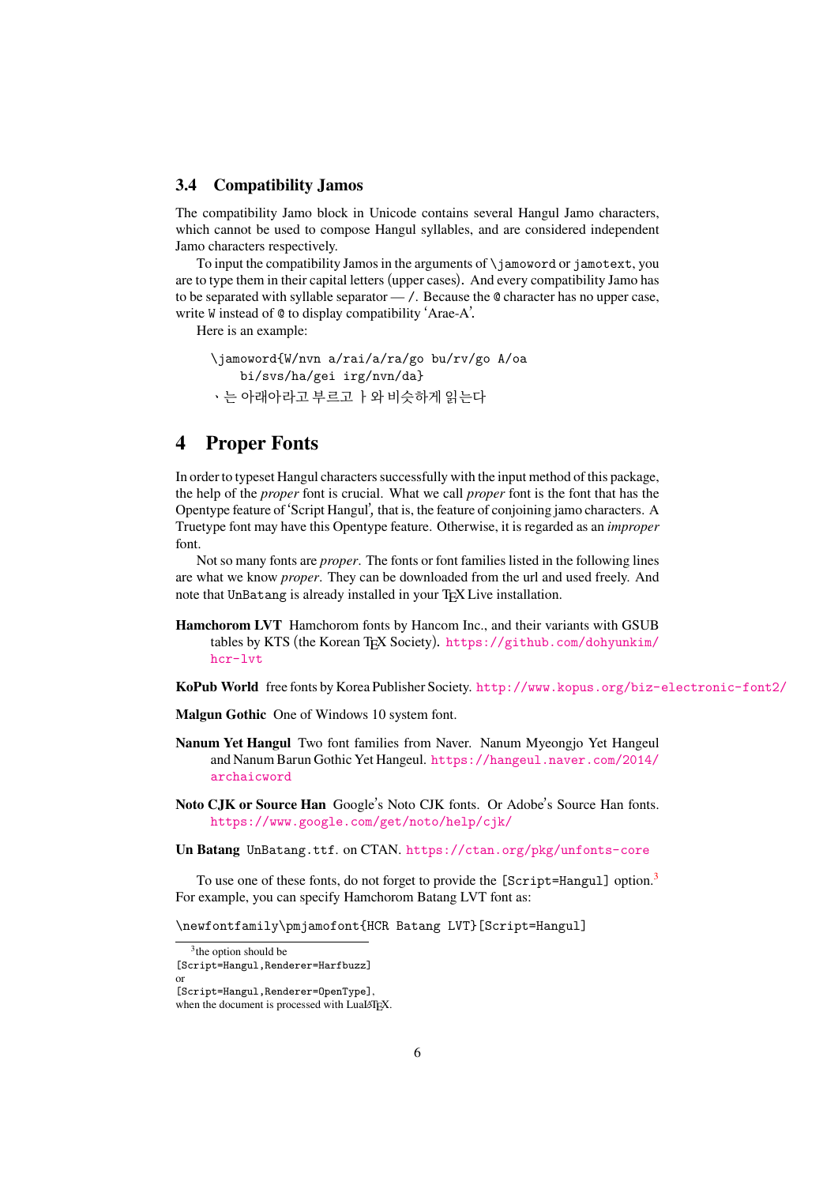#### **3.4 Compatibility Jamos**

The compatibility Jamo block in Unicode contains several Hangul Jamo characters, which cannot be used to compose Hangul syllables, and are considered independent Jamo characters respectively.

<span id="page-5-0"></span>To input the compatibility Jamos in the arguments of \jamoword or jamotext, you are to type them in their capital letters (upper cases). And every compatibility Jamo has to be separated with syllable separator — /. Because the @ character has no upper case, write W instead of @ to display compatibility 'Arae-A'.

Here is an example:

```
\jamoword{W/nvn a/rai/a/ra/go bu/rv/go A/oa
   bi/svs/ha/gei irg/nvn/da}
ㆍ는 아래아라고 부르고 ᅡ와 비슷하게 읽는다
```
# **4 Proper Fonts**

<span id="page-5-1"></span>In order to typeset Hangul characters successfully with the input method of this package, the help of the *proper* font is crucial. What we call *proper* font is the font that has the Opentype feature of 'Script Hangul', that is, the feature of conjoining jamo characters. A Truetype font may have this Opentype feature. Otherwise, it is regarded as an *improper* font.

Not so many fonts are *proper*. The fonts or font families listed in the following lines are what we know *proper*. They can be downloaded from the url and used freely. And note that UnBatang is already installed in your T<sub>E</sub>X Live installation.

**Hamchorom LVT** Hamchorom fonts by Hancom Inc., and their variants with GSUB tables by KTS (the Korean TEX Society). https://github.com/dohyunkim/ hcr-lvt

**KoPub World** free fonts by Korea Publisher Society. http://www.kopus.org/biz-electronic-font2/

**Malg[un Gothic](https://github.com/dohyunkim/hcr-lvt)** One of Windows 10 system fo[nt.](https://github.com/dohyunkim/hcr-lvt)

- **Nanum Yet Hangul** Two font families from Naver. Nanum Myeongjo Yet Hangeul and Nanum Barun Gothic Yet Hangeul. https:[//hangeul.naver.com/2014/](http://www.kopus.org/biz-electronic-font2/) archaicword
- **Noto CJK or Source Han** Google's Noto CJK fonts. Or Adobe's Source Han fonts. https://www.google.com/get/no[to/help/cjk/](https://hangeul.naver.com/2014/archaicword)

**Un Batang** [UnBatan](https://hangeul.naver.com/2014/archaicword)g.ttf. on CTAN. https://ctan.org/pkg/unfonts-core

To use one of these fonts, do not forget to provide the [Script=Hangul] option.<sup>3</sup> For e[xample, you can specify Hamchorom Batang LVT font](https://www.google.com/get/noto/help/cjk/) as:

\newfontfamily\pmjamofont{HCR B[atang LVT}\[Script=Hangul\]](https://ctan.org/pkg/unfonts-core)

<sup>3</sup> the option should be

or

<sup>[</sup>Script=Hangul,Renderer=Harfbuzz]

<sup>[</sup>Script=Hangul,Renderer=OpenType],

when the document is processed with LuaLATEX.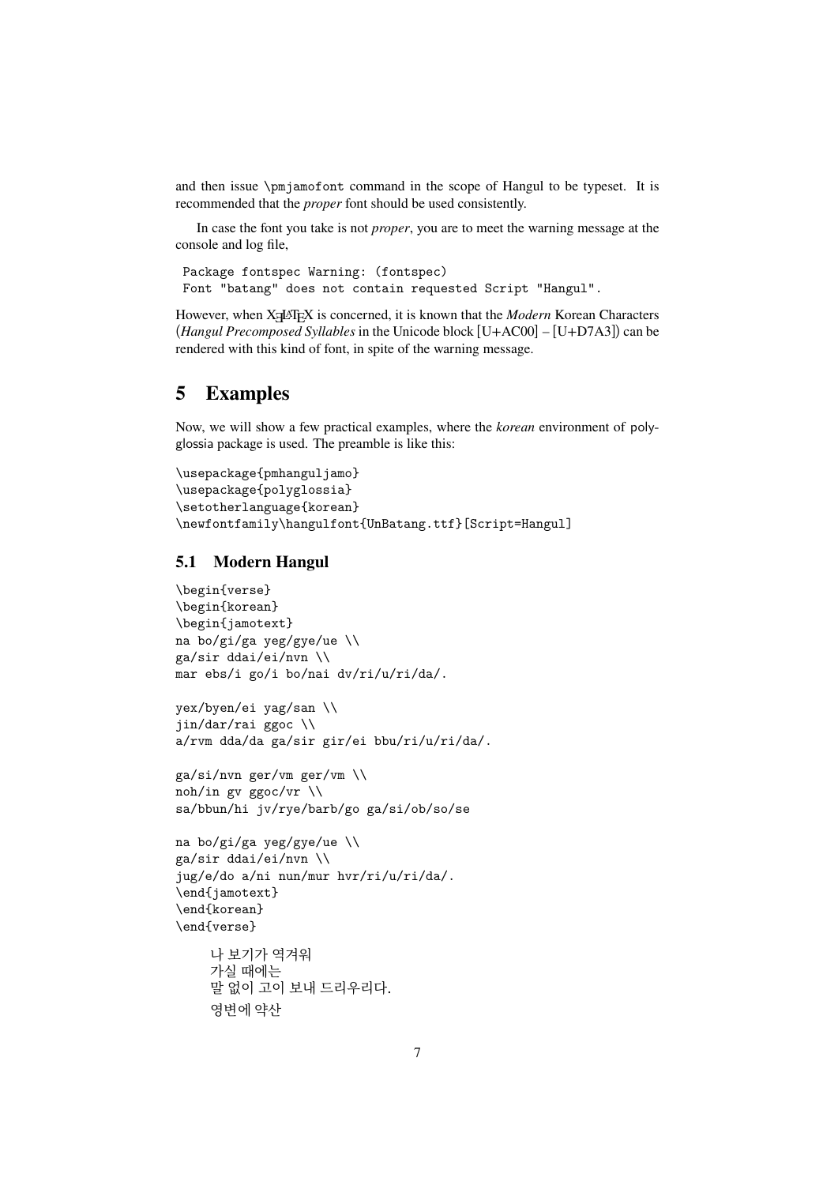and then issue \pmjamofont command in the scope of Hangul to be typeset. It is recommended that the *proper* font should be used consistently.

In case the font you take is not *proper*, you are to meet the warning message at the console and log file,

```
Package fontspec Warning: (fontspec)
Font "batang" does not contain requested Script "Hangul".
```
However, when X<sub>H</sub>AT<sub>E</sub>X is concerned, it is known that the *Modern* Korean Characters (*Hangul Precomposed Syllables* in the Unicode block [U+AC00] – [U+D7A3]) can be rendered with this kind of font, in spite of the warning message.

# <span id="page-6-0"></span>**5 Examples**

Now, we will show a few practical examples, where the *korean* environment of polyglossia package is used. The preamble is like this:

```
\usepackage{pmhanguljamo}
\usepackage{polyglossia}
\setotherlanguage{korean}
\newfontfamily\hangulfont{UnBatang.ttf}[Script=Hangul]
```
### <span id="page-6-1"></span>**5.1 Modern Hangul**

```
\begin{verse}
\begin{korean}
\begin{jamotext}
na bo/gi/ga yeg/gye/ue \\
ga/sir ddai/ei/nvn \\
mar ebs/i go/i bo/nai dv/ri/u/ri/da/.
```

```
yex/byen/ei yag/san \\
jin/dar/rai ggoc \\
a/rvm dda/da ga/sir gir/ei bbu/ri/u/ri/da/.
```

```
ga/si/nvn ger/vm ger/vm \\
noh/in gv ggoc/vr \\
sa/bbun/hi jv/rye/barb/go ga/si/ob/so/se
```

```
na bo/gi/ga yeg/gye/ue \\
ga/sir ddai/ei/nvn \\
jug/e/do a/ni nun/mur hvr/ri/u/ri/da/.
\end{jamotext}
\end{korean}
\end{verse}
```

```
나 보기가 역겨워
가실 때에는
말 없이 고이 보내 드리우리다.
영변에 약산
```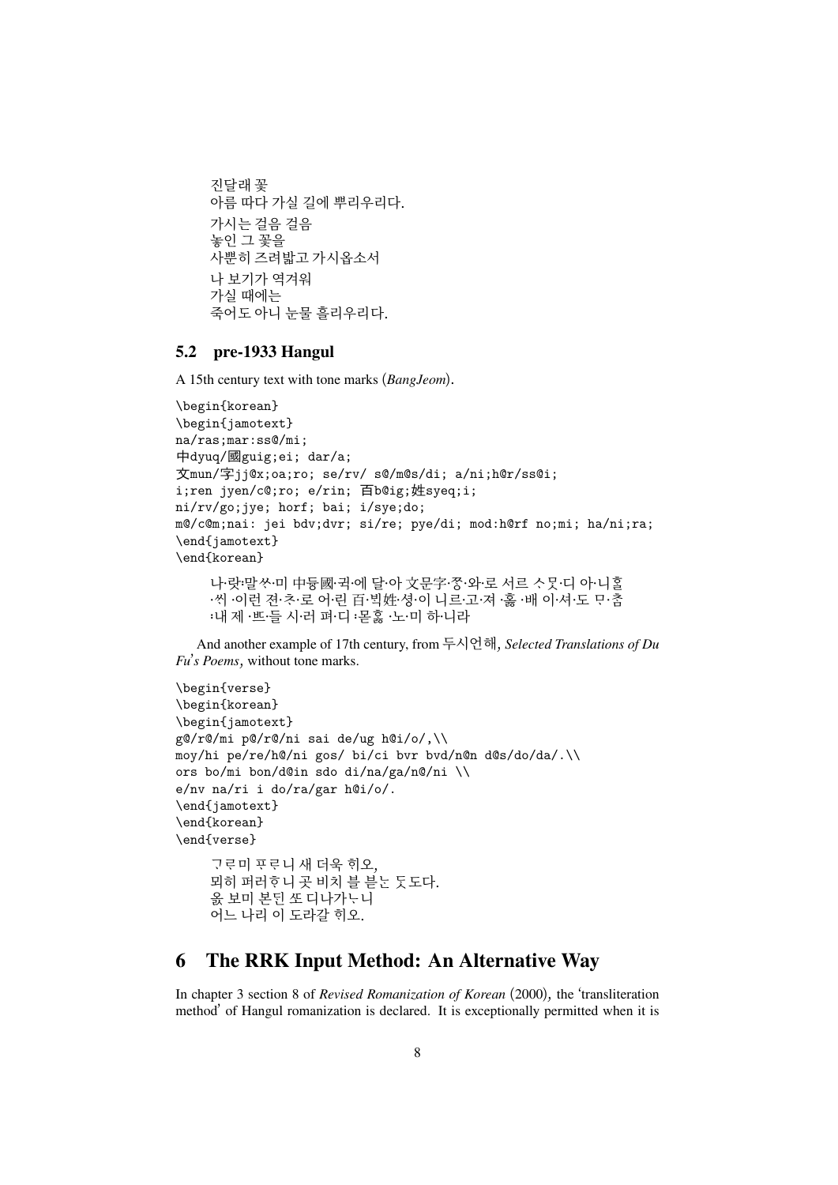```
진달래 꽃
아름 따다 가실 길에 뿌리우리다.
가시는 걸음 걸음
놓인 그 꽃을
사뿐히 즈려밟고 가시옵소서
나 보기가 역겨워
가실 때에는
죽어도 아니 눈물 흘리우리다.
```
### <span id="page-7-0"></span>**5.2 pre-1933 Hangul**

A 15th century text with tone marks (*BangJeom*).

```
\begin{korean}
\begin{jamotext}
na/ras;mar:ss@/mi;
中dyuq/國guig;ei; dar/a;
文mun/字jj@x;oa;ro; se/rv/ s@/m@s/di; a/ni;h@r/ss@i;
i;ren jyen/c@;ro; e/rin; 百b@ig;姓syeq;i;
ni/rv/go;jye; horf; bai; i/sye;do;
m@/c@m;nai: jei bdv;dvr; si/re; pye/di; mod:h@rf no;mi; ha/ni;ra;
\end{jamotext}
\end{korean}
```
나·랏·말쏘·미 中듕國·귁·에 달·아 文문字·쫑·와·로 서르 스뭇·디 아·니홀 ·씨 ·이런 젼·초·로 어·린 百·빅姓·셩·이 니르·고·져 ·홇 ·배 이·셔·도 모·춤 :내 제 ·쁘·들 시·러 펴·디 :몯홇 ·노·미 하·니라

And another example of 17th century, from 두시언해, *Selected Translations of Du Fu*'*s Poems*, without tone marks.

```
\begin{verse}
\begin{korean}
\begin{jamotext}
g@/r@/mi p@/r@/ni sai de/ug h@i/o/,\\
moy/hi pe/re/h@/ni gos/ bi/ci bvr bvd/n@n d@s/do/da/.\\
ors bo/mi bon/d@in sdo di/na/ga/n@/ni \\
e/nv na/ri i do/ra/gar h@i/o/.
\end{jamotext}
\end{korean}
\end{verse}
    고 로미 푸 로 니 새 더욱 히오.
    뫼히 퍼러호니 곳 비치 블 븓 눈 돗도다.
    옰 보미 본된 또 디나가  니
    어느 나리 이 도라갈 히오.
```
# <span id="page-7-1"></span>**6 The RRK Input Method: An Alternative Way**

In chapter 3 section 8 of *Revised Romanization of Korean* (2000), the 'transliteration method' of Hangul romanization is declared. It is exceptionally permitted when it is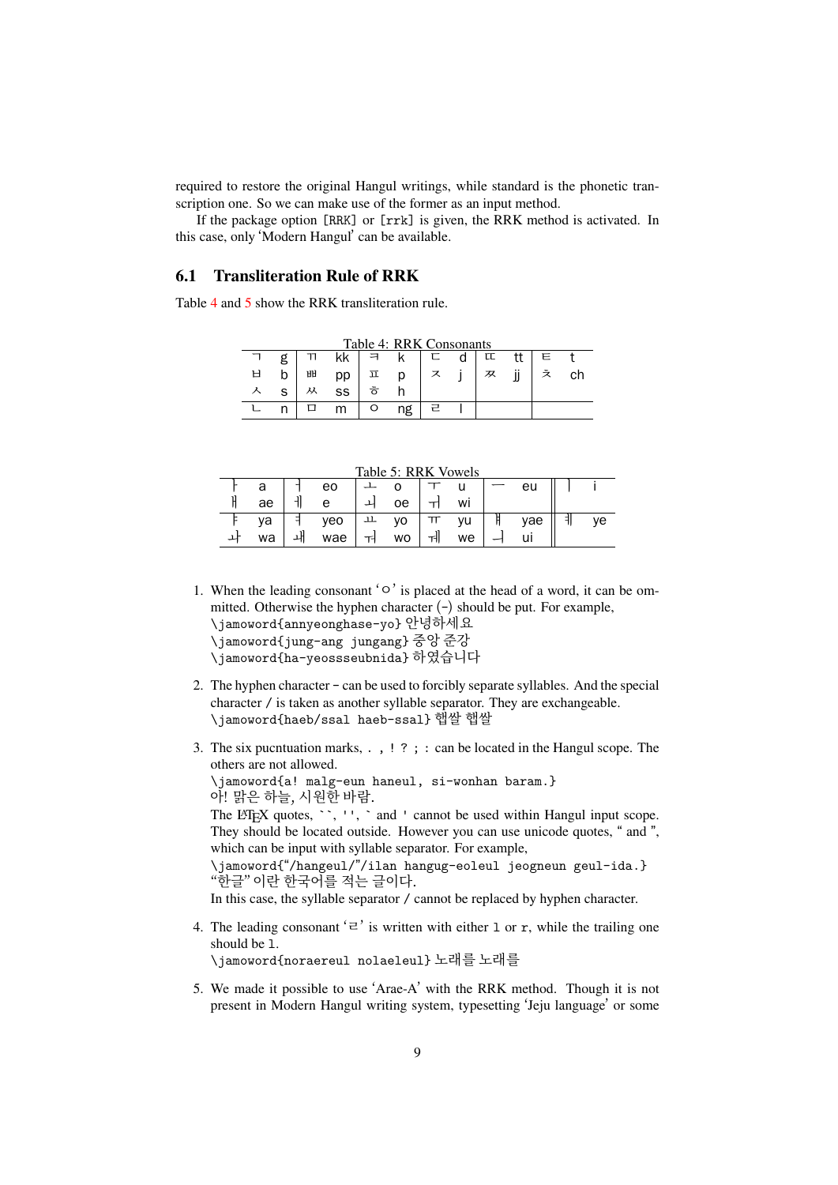required to restore the original Hangul writings, while standard is the phonetic transcription one. So we can make use of the former as an input method.

If the package option [RRK] or [rrk] is given, the RRK method is activated. In this case, only 'Modern Hangul' can be available.

### **6.1 Transliteration Rule of RRK**

<span id="page-8-0"></span>Table 4 and 5 show the RRK transliteration rule.

| Table 4: RRK Consonants |    |   |    |          |    |   |   |   |    |   |    |  |
|-------------------------|----|---|----|----------|----|---|---|---|----|---|----|--|
|                         |    |   | kk | ㅋ        |    |   | d | 叿 |    | E |    |  |
|                         | b  | ᄈ | pp | 立        | p  | ス |   | 双 | jj | ぇ | cn |  |
|                         | S. | 从 | SS | <u>ੌ</u> |    |   |   |   |    |   |    |  |
|                         |    |   | m  |          | ng | 근 |   |   |    |   |    |  |

 $T_1$   $T_2$   $T_3$   $T_4$   $T_5$   $T_6$   $T_7$ 

<span id="page-8-1"></span>Table 5: RRK Vowels

| $14010$ $0.1111$ $0.0010$ |    |  |     |  |    |  |    |  |     |  |    |
|---------------------------|----|--|-----|--|----|--|----|--|-----|--|----|
|                           | d  |  | eo  |  |    |  |    |  | eu  |  |    |
|                           | aе |  |     |  | oе |  | Wİ |  |     |  |    |
|                           | va |  | уео |  | ٧O |  | vu |  | vae |  | ve |
|                           | wa |  | wae |  | wo |  | we |  |     |  |    |
|                           |    |  |     |  |    |  |    |  |     |  |    |

1. When the leading consonant 'o' is placed at the head of a word, it can be ommitted. Otherwise the hyphen character  $(-)$  should be put. For example, \jamoword{annyeonghase-yo} 안녕하세요

\jamoword{jung-ang jungang} 중앙 준강

\jamoword{ha-yeossseubnida} 하였습니다

- 2. The hyphen character can be used to forcibly separate syllables. And the special character / is taken as another syllable separator. They are exchangeable. \jamoword{haeb/ssal haeb-ssal} 햅쌀 햅쌀
- 3. The six pucntuation marks, . , ! ? ; : can be located in the Hangul scope. The others are not allowed.

\jamoword{a! malg-eun haneul, si-wonhan baram.} 아! 맑은 하늘, 시원한 바람.

The LATEX quotes,  $\cdot$ ,  $\cdot$ ,  $\cdot$  and  $\cdot$  cannot be used within Hangul input scope. They should be located outside. However you can use unicode quotes, " and ", which can be input with syllable separator. For example,

\jamoword{"/hangeul/"/ilan hangug-eoleul jeogneun geul-ida.} "한글" 이란 한국어를 적는 글이다.

In this case, the syllable separator / cannot be replaced by hyphen character.

4. The leading consonant  $\mathcal{L}$  is written with either 1 or r, while the trailing one should be l.

\jamoword{noraereul nolaeleul} 노래를 노래를

5. We made it possible to use 'Arae-A' with the RRK method. Though it is not present in Modern Hangul writing system, typesetting 'Jeju language' or some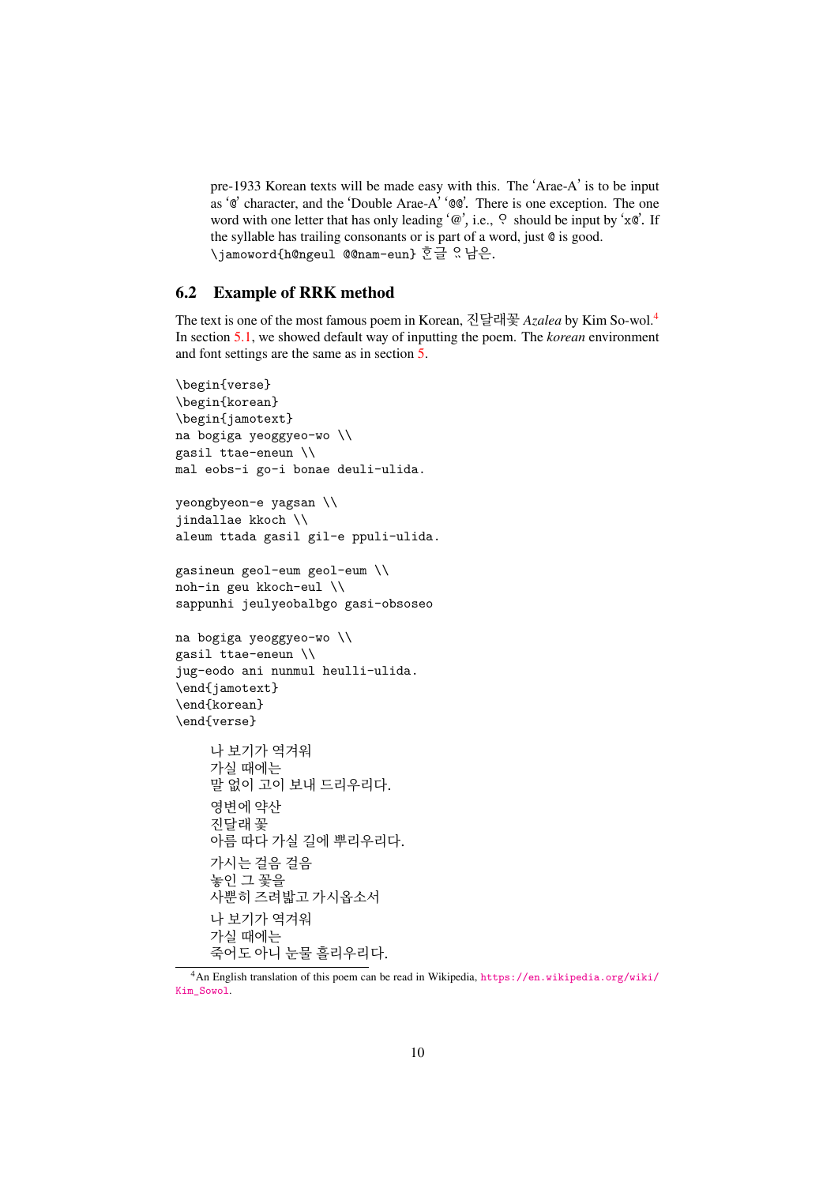pre-1933 Korean texts will be made easy with this. The 'Arae-A' is to be input as '@' character, and the 'Double Arae-A' '@@'. There is one exception. The one word with one letter that has only leading ' $@$ ', i.e.,  $Q$  should be input by 'x $@'$ . If the syllable has trailing consonants or is part of a word, just @ is good. \jamoword{h@ngeul @@nam-eun} 흔글 있남은.

#### **6.2 Example of RRK method**

The text is one of the most famous poem in Korean, 진달래꽃 *Azalea* by Kim So-wol.<sup>4</sup> In section 5.1, we showed default way of inputting the poem. The *korean* environment and font settings are the same as in section 5.

```
\begin{verse}
\begin{korean}
\begin{jamotext}
na bogiga yeoggyeo-wo \\
gasil ttae-eneun \\
mal eobs-i go-i bonae deuli-ulida.
yeongbyeon-e yagsan \\
jindallae kkoch \\
aleum ttada gasil gil-e ppuli-ulida.
gasineun geol-eum geol-eum \\
noh-in geu kkoch-eul \\
sappunhi jeulyeobalbgo gasi-obsoseo
na bogiga yeoggyeo-wo \\
gasil ttae-eneun \\
jug-eodo ani nunmul heulli-ulida.
\end{jamotext}
\end{korean}
\end{verse}
    나 보기가 역겨워
    가실 때에는
    말 없이 고이 보내 드리우리다.
    영변에 약산
    진달래 꽃
    아름 따다 가실 길에 뿌리우리다.
    가시는 걸음 걸음
    놓인 그 꽃을
    사뿐히 즈려밟고 가시옵소서
    나 보기가 역겨워
    가실 때에는
    죽어도 아니 눈물 흘리우리다.
```
<sup>4</sup>An English translation of this poem can be read in Wikipedia, https://en.wikipedia.org/wiki/ Kim\_Sowol.